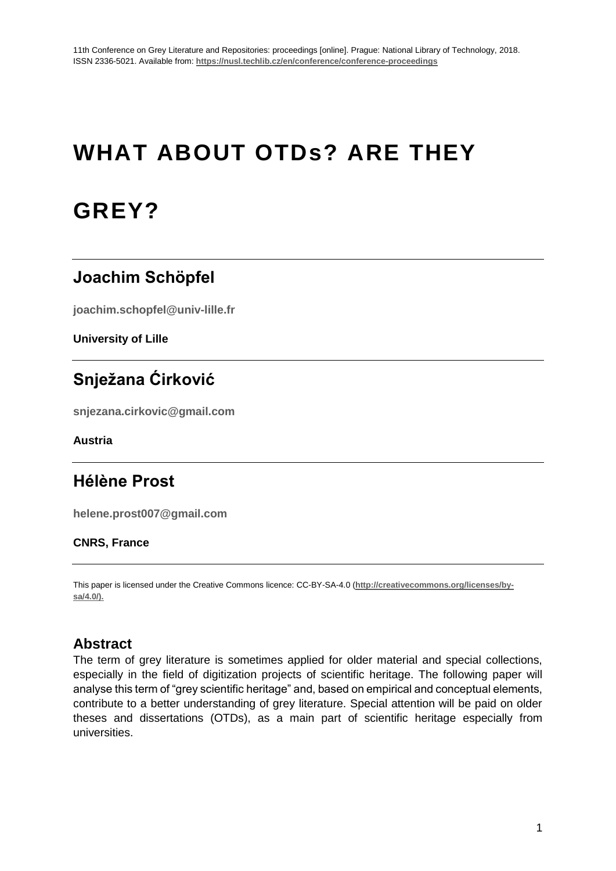# **WHAT ABOUT OTDs? ARE THEY**

# **GREY?**

## **Joachim Schöpfel**

**joachim.schopfel@univ-lille.fr**

**University of Lille**

# **Snježana Ćirković**

**snjezana.cirkovic@gmail.com**

**Austria**

## **Hélène Prost**

**helene.prost007@gmail.com**

#### **CNRS, France**

This paper is licensed under the Creative Commons licence: CC-BY-SA-4.0 (**http://creativecommons.org/licenses/bysa/4.0/).**

## **Abstract**

The term of grey literature is sometimes applied for older material and special collections, especially in the field of digitization projects of scientific heritage. The following paper will analyse this term of "grey scientific heritage" and, based on empirical and conceptual elements, contribute to a better understanding of grey literature. Special attention will be paid on older theses and dissertations (OTDs), as a main part of scientific heritage especially from universities.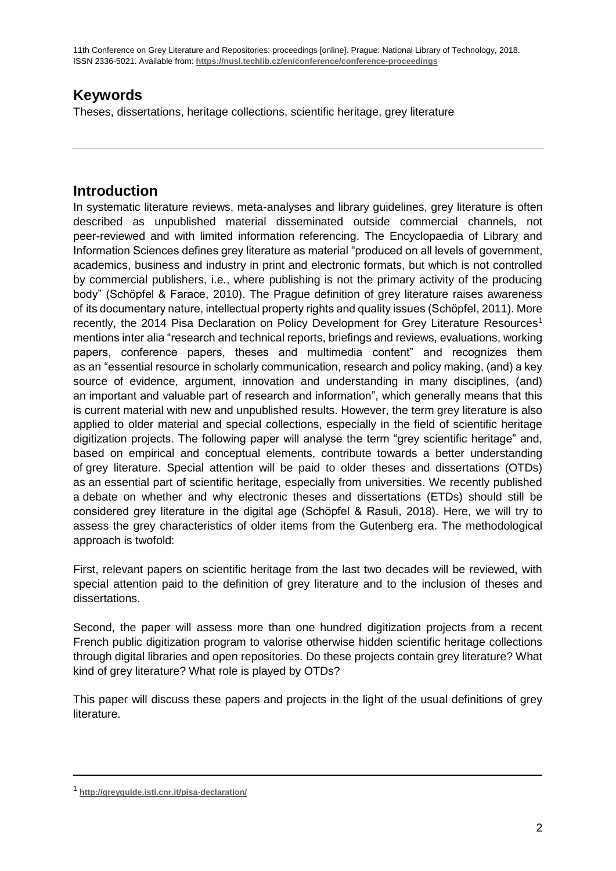## **Keywords**

Theses, dissertations, heritage collections, scientific heritage, grey literature

## **Introduction**

In systematic literature reviews, meta-analyses and library guidelines, grey literature is often described as unpublished material disseminated outside commercial channels, not peer-reviewed and with limited information referencing. The Encyclopaedia of Library and Information Sciences defines grey literature as material "produced on all levels of government, academics, business and industry in print and electronic formats, but which is not controlled by commercial publishers, i.e., where publishing is not the primary activity of the producing body" (Schöpfel & Farace, 2010). The Prague definition of grey literature raises awareness of its documentary nature, intellectual property rights and quality issues (Schöpfel, 2011). More recently, the 2014 Pisa Declaration on Policy Development for Grey Literature Resources<sup>1</sup> mentions inter alia "research and technical reports, briefings and reviews, evaluations, working papers, conference papers, theses and multimedia content" and recognizes them as an "essential resource in scholarly communication, research and policy making, (and) a key source of evidence, argument, innovation and understanding in many disciplines, (and) an important and valuable part of research and information", which generally means that this is current material with new and unpublished results. However, the term grey literature is also applied to older material and special collections, especially in the field of scientific heritage digitization projects. The following paper will analyse the term "grey scientific heritage" and, based on empirical and conceptual elements, contribute towards a better understanding of grey literature. Special attention will be paid to older theses and dissertations (OTDs) as an essential part of scientific heritage, especially from universities. We recently published a debate on whether and why electronic theses and dissertations (ETDs) should still be considered grey literature in the digital age (Schöpfel & Rasuli, 2018). Here, we will try to assess the grey characteristics of older items from the Gutenberg era. The methodological approach is twofold:

First, relevant papers on scientific heritage from the last two decades will be reviewed, with special attention paid to the definition of grey literature and to the inclusion of theses and dissertations.

Second, the paper will assess more than one hundred digitization projects from a recent French public digitization program to valorise otherwise hidden scientific heritage collections through digital libraries and open repositories. Do these projects contain grey literature? What kind of grey literature? What role is played by OTDs?

This paper will discuss these papers and projects in the light of the usual definitions of grey literature.

<sup>1</sup> **<http://greyguide.isti.cnr.it/pisa-declaration/>**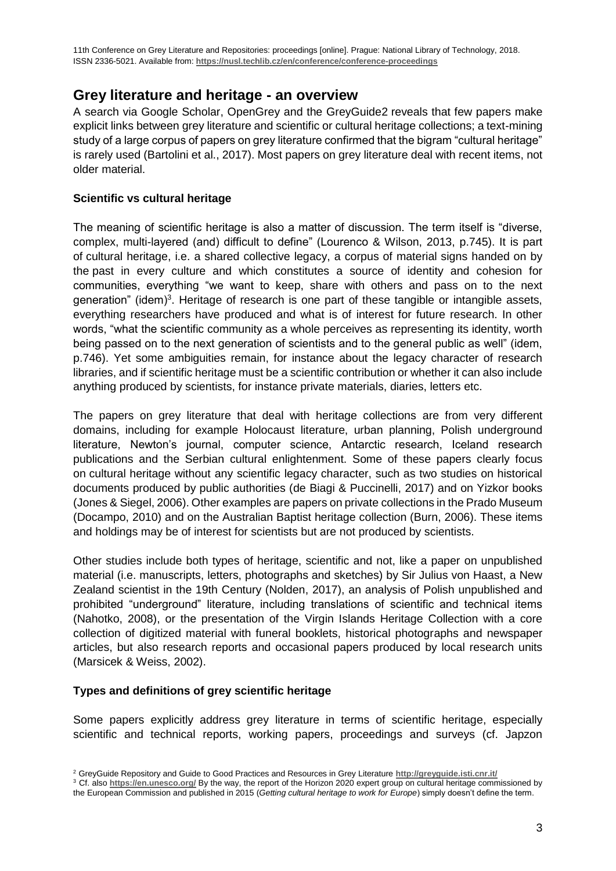11th Conference on Grey Literature and Repositories: proceedings [online]. Prague: National Library of Technology, 2018. ISSN 2336-5021. Available from: **https://nusl.techlib.cz/en/conference/conference-proceedings**

### **Grey literature and heritage - an overview**

A search via Google Scholar, OpenGrey and the GreyGuide2 reveals that few papers make explicit links between grey literature and scientific or cultural heritage collections; a text-mining study of a large corpus of papers on grey literature confirmed that the bigram "cultural heritage" is rarely used (Bartolini et al., 2017). Most papers on grey literature deal with recent items, not older material.

#### **Scientific vs cultural heritage**

The meaning of scientific heritage is also a matter of discussion. The term itself is "diverse, complex, multi-layered (and) difficult to define" (Lourenco & Wilson, 2013, p.745). It is part of cultural heritage, i.e. a shared collective legacy, a corpus of material signs handed on by the past in every culture and which constitutes a source of identity and cohesion for communities, everything "we want to keep, share with others and pass on to the next generation" (idem)<sup>3</sup>. Heritage of research is one part of these tangible or intangible assets, everything researchers have produced and what is of interest for future research. In other words, "what the scientific community as a whole perceives as representing its identity, worth being passed on to the next generation of scientists and to the general public as well" (idem, p.746). Yet some ambiguities remain, for instance about the legacy character of research libraries, and if scientific heritage must be a scientific contribution or whether it can also include anything produced by scientists, for instance private materials, diaries, letters etc.

The papers on grey literature that deal with heritage collections are from very different domains, including for example Holocaust literature, urban planning, Polish underground literature, Newton's journal, computer science, Antarctic research, Iceland research publications and the Serbian cultural enlightenment. Some of these papers clearly focus on cultural heritage without any scientific legacy character, such as two studies on historical documents produced by public authorities (de Biagi & Puccinelli, 2017) and on Yizkor books (Jones & Siegel, 2006). Other examples are papers on private collections in the Prado Museum (Docampo, 2010) and on the Australian Baptist heritage collection (Burn, 2006). These items and holdings may be of interest for scientists but are not produced by scientists.

Other studies include both types of heritage, scientific and not, like a paper on unpublished material (i.e. manuscripts, letters, photographs and sketches) by Sir Julius von Haast, a New Zealand scientist in the 19th Century (Nolden, 2017), an analysis of Polish unpublished and prohibited "underground" literature, including translations of scientific and technical items (Nahotko, 2008), or the presentation of the Virgin Islands Heritage Collection with a core collection of digitized material with funeral booklets, historical photographs and newspaper articles, but also research reports and occasional papers produced by local research units (Marsicek & Weiss, 2002).

#### **Types and definitions of grey scientific heritage**

Some papers explicitly address grey literature in terms of scientific heritage, especially scientific and technical reports, working papers, proceedings and surveys (cf. Japzon

<sup>2</sup> GreyGuide Repository and Guide to Good Practices and Resources in Grey Literature **<http://greyguide.isti.cnr.it/>**

<sup>3</sup> Cf. also **<https://en.unesco.org/>** By the way, the report of the Horizon 2020 expert group on cultural heritage commissioned by the European Commission and published in 2015 (*Getting cultural heritage to work for Europe*) simply doesn't define the term.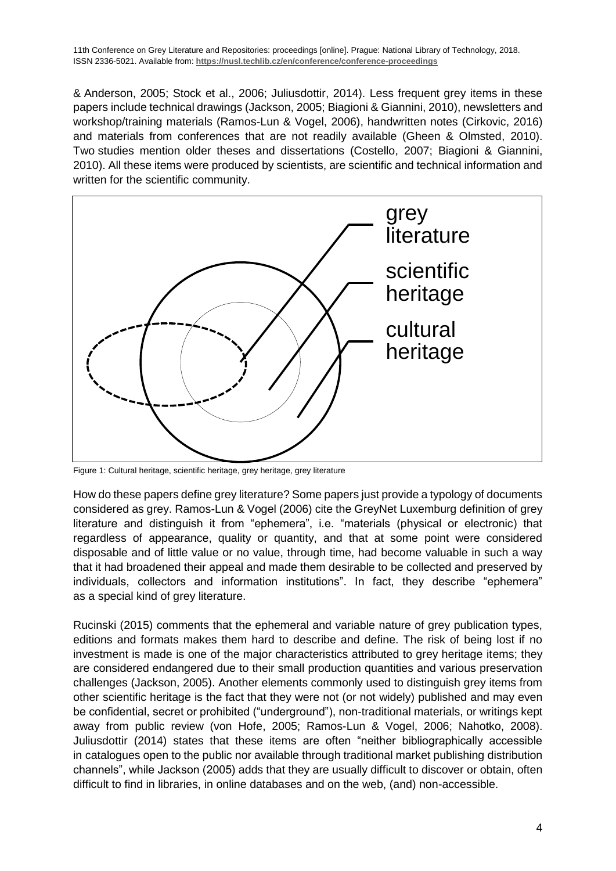& Anderson, 2005; Stock et al., 2006; Juliusdottir, 2014). Less frequent grey items in these papers include technical drawings (Jackson, 2005; Biagioni & Giannini, 2010), newsletters and workshop/training materials (Ramos-Lun & Vogel, 2006), handwritten notes (Cirkovic, 2016) and materials from conferences that are not readily available (Gheen & Olmsted, 2010). Two studies mention older theses and dissertations (Costello, 2007; Biagioni & Giannini, 2010). All these items were produced by scientists, are scientific and technical information and written for the scientific community.



Figure 1: Cultural heritage, scientific heritage, grey heritage, grey literature

How do these papers define grey literature? Some papers just provide a typology of documents considered as grey. Ramos-Lun & Vogel (2006) cite the GreyNet Luxemburg definition of grey literature and distinguish it from "ephemera", i.e. "materials (physical or electronic) that regardless of appearance, quality or quantity, and that at some point were considered disposable and of little value or no value, through time, had become valuable in such a way that it had broadened their appeal and made them desirable to be collected and preserved by individuals, collectors and information institutions". In fact, they describe "ephemera" as a special kind of grey literature.

Rucinski (2015) comments that the ephemeral and variable nature of grey publication types, editions and formats makes them hard to describe and define. The risk of being lost if no investment is made is one of the major characteristics attributed to grey heritage items; they are considered endangered due to their small production quantities and various preservation challenges (Jackson, 2005). Another elements commonly used to distinguish grey items from other scientific heritage is the fact that they were not (or not widely) published and may even be confidential, secret or prohibited ("underground"), non-traditional materials, or writings kept away from public review (von Hofe, 2005; Ramos-Lun & Vogel, 2006; Nahotko, 2008). Juliusdottir (2014) states that these items are often "neither bibliographically accessible in catalogues open to the public nor available through traditional market publishing distribution channels", while Jackson (2005) adds that they are usually difficult to discover or obtain, often difficult to find in libraries, in online databases and on the web, (and) non-accessible.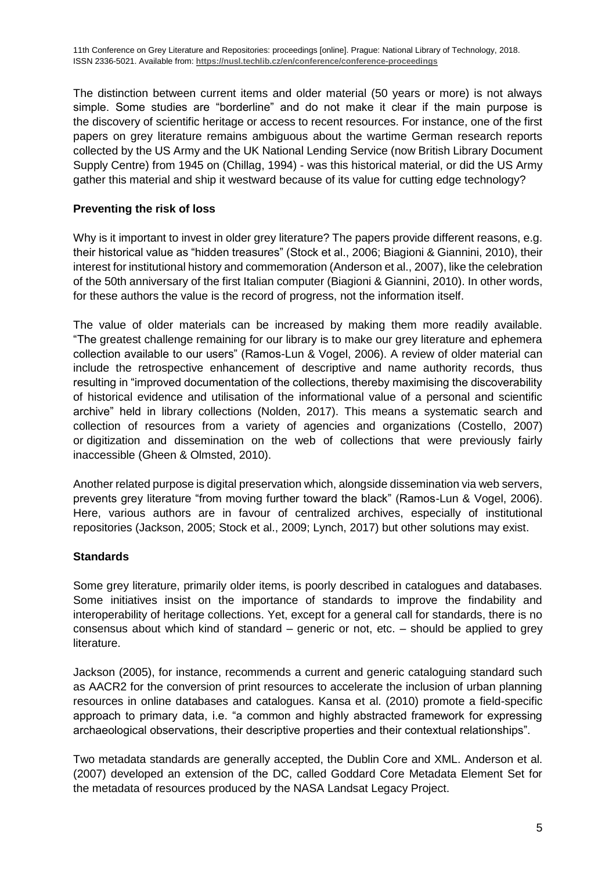The distinction between current items and older material (50 years or more) is not always simple. Some studies are "borderline" and do not make it clear if the main purpose is the discovery of scientific heritage or access to recent resources. For instance, one of the first papers on grey literature remains ambiguous about the wartime German research reports collected by the US Army and the UK National Lending Service (now British Library Document Supply Centre) from 1945 on (Chillag, 1994) - was this historical material, or did the US Army gather this material and ship it westward because of its value for cutting edge technology?

#### **Preventing the risk of loss**

Why is it important to invest in older grey literature? The papers provide different reasons, e.g. their historical value as "hidden treasures" (Stock et al., 2006; Biagioni & Giannini, 2010), their interest for institutional history and commemoration (Anderson et al., 2007), like the celebration of the 50th anniversary of the first Italian computer (Biagioni & Giannini, 2010). In other words, for these authors the value is the record of progress, not the information itself.

The value of older materials can be increased by making them more readily available. "The greatest challenge remaining for our library is to make our grey literature and ephemera collection available to our users" (Ramos-Lun & Vogel, 2006). A review of older material can include the retrospective enhancement of descriptive and name authority records, thus resulting in "improved documentation of the collections, thereby maximising the discoverability of historical evidence and utilisation of the informational value of a personal and scientific archive" held in library collections (Nolden, 2017). This means a systematic search and collection of resources from a variety of agencies and organizations (Costello, 2007) or digitization and dissemination on the web of collections that were previously fairly inaccessible (Gheen & Olmsted, 2010).

Another related purpose is digital preservation which, alongside dissemination via web servers, prevents grey literature "from moving further toward the black" (Ramos-Lun & Vogel, 2006). Here, various authors are in favour of centralized archives, especially of institutional repositories (Jackson, 2005; Stock et al., 2009; Lynch, 2017) but other solutions may exist.

#### **Standards**

Some grey literature, primarily older items, is poorly described in catalogues and databases. Some initiatives insist on the importance of standards to improve the findability and interoperability of heritage collections. Yet, except for a general call for standards, there is no consensus about which kind of standard – generic or not, etc. – should be applied to grey literature.

Jackson (2005), for instance, recommends a current and generic cataloguing standard such as AACR2 for the conversion of print resources to accelerate the inclusion of urban planning resources in online databases and catalogues. Kansa et al. (2010) promote a field-specific approach to primary data, i.e. "a common and highly abstracted framework for expressing archaeological observations, their descriptive properties and their contextual relationships".

Two metadata standards are generally accepted, the Dublin Core and XML. Anderson et al. (2007) developed an extension of the DC, called Goddard Core Metadata Element Set for the metadata of resources produced by the NASA Landsat Legacy Project.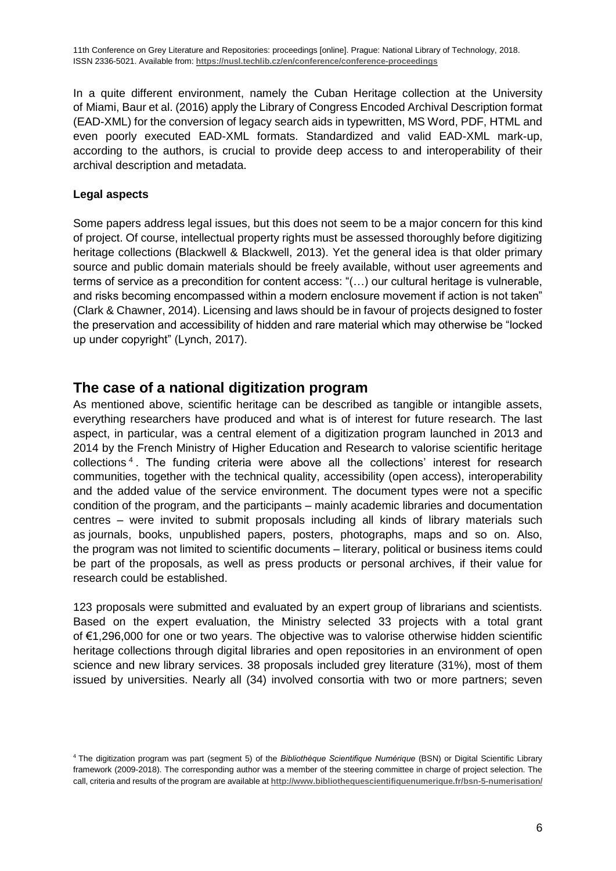In a quite different environment, namely the Cuban Heritage collection at the University of Miami, Baur et al. (2016) apply the Library of Congress Encoded Archival Description format (EAD-XML) for the conversion of legacy search aids in typewritten, MS Word, PDF, HTML and even poorly executed EAD-XML formats. Standardized and valid EAD-XML mark-up, according to the authors, is crucial to provide deep access to and interoperability of their archival description and metadata.

#### **Legal aspects**

Some papers address legal issues, but this does not seem to be a major concern for this kind of project. Of course, intellectual property rights must be assessed thoroughly before digitizing heritage collections (Blackwell & Blackwell, 2013). Yet the general idea is that older primary source and public domain materials should be freely available, without user agreements and terms of service as a precondition for content access: "(…) our cultural heritage is vulnerable, and risks becoming encompassed within a modern enclosure movement if action is not taken" (Clark & Chawner, 2014). Licensing and laws should be in favour of projects designed to foster the preservation and accessibility of hidden and rare material which may otherwise be "locked up under copyright" (Lynch, 2017).

## **The case of a national digitization program**

As mentioned above, scientific heritage can be described as tangible or intangible assets, everything researchers have produced and what is of interest for future research. The last aspect, in particular, was a central element of a digitization program launched in 2013 and 2014 by the French Ministry of Higher Education and Research to valorise scientific heritage collections<sup>4</sup>. The funding criteria were above all the collections' interest for research communities, together with the technical quality, accessibility (open access), interoperability and the added value of the service environment. The document types were not a specific condition of the program, and the participants – mainly academic libraries and documentation centres – were invited to submit proposals including all kinds of library materials such as journals, books, unpublished papers, posters, photographs, maps and so on. Also, the program was not limited to scientific documents – literary, political or business items could be part of the proposals, as well as press products or personal archives, if their value for research could be established.

123 proposals were submitted and evaluated by an expert group of librarians and scientists. Based on the expert evaluation, the Ministry selected 33 projects with a total grant of €1,296,000 for one or two years. The objective was to valorise otherwise hidden scientific heritage collections through digital libraries and open repositories in an environment of open science and new library services. 38 proposals included grey literature (31%), most of them issued by universities. Nearly all (34) involved consortia with two or more partners; seven

<sup>4</sup> The digitization program was part (segment 5) of the *Bibliothèque Scientifique Numérique* (BSN) or Digital Scientific Library framework (2009-2018). The corresponding author was a member of the steering committee in charge of project selection. The call, criteria and results of the program are available at **<http://www.bibliothequescientifiquenumerique.fr/bsn-5-numerisation/>**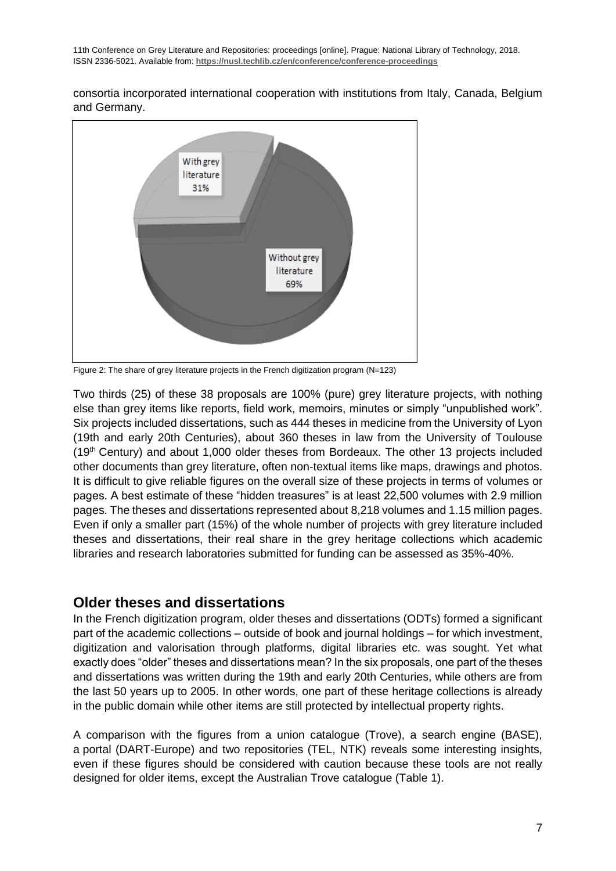consortia incorporated international cooperation with institutions from Italy, Canada, Belgium and Germany.



Figure 2: The share of grey literature projects in the French digitization program (N=123)

Two thirds (25) of these 38 proposals are 100% (pure) grey literature projects, with nothing else than grey items like reports, field work, memoirs, minutes or simply "unpublished work". Six projects included dissertations, such as 444 theses in medicine from the University of Lyon (19th and early 20th Centuries), about 360 theses in law from the University of Toulouse (19th Century) and about 1,000 older theses from Bordeaux. The other 13 projects included other documents than grey literature, often non-textual items like maps, drawings and photos. It is difficult to give reliable figures on the overall size of these projects in terms of volumes or pages. A best estimate of these "hidden treasures" is at least 22,500 volumes with 2.9 million pages. The theses and dissertations represented about 8,218 volumes and 1.15 million pages. Even if only a smaller part (15%) of the whole number of projects with grey literature included theses and dissertations, their real share in the grey heritage collections which academic libraries and research laboratories submitted for funding can be assessed as 35%-40%.

## **Older theses and dissertations**

In the French digitization program, older theses and dissertations (ODTs) formed a significant part of the academic collections – outside of book and journal holdings – for which investment, digitization and valorisation through platforms, digital libraries etc. was sought. Yet what exactly does "older" theses and dissertations mean? In the six proposals, one part of the theses and dissertations was written during the 19th and early 20th Centuries, while others are from the last 50 years up to 2005. In other words, one part of these heritage collections is already in the public domain while other items are still protected by intellectual property rights.

A comparison with the figures from a union catalogue (Trove), a search engine (BASE), a portal (DART-Europe) and two repositories (TEL, NTK) reveals some interesting insights, even if these figures should be considered with caution because these tools are not really designed for older items, except the Australian Trove catalogue (Table 1).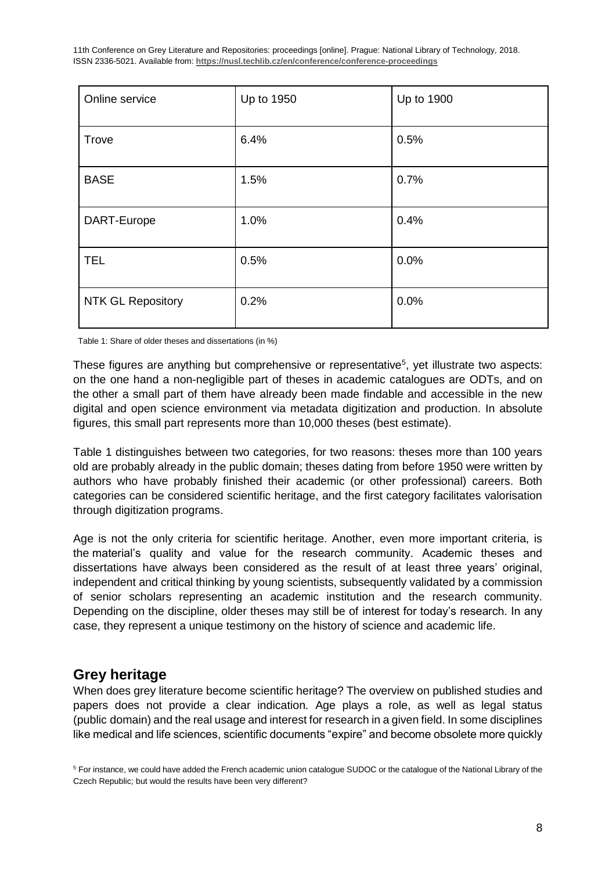11th Conference on Grey Literature and Repositories: proceedings [online]. Prague: National Library of Technology, 2018. ISSN 2336-5021. Available from: **https://nusl.techlib.cz/en/conference/conference-proceedings**

| Online service           | Up to 1950 | Up to 1900 |
|--------------------------|------------|------------|
| Trove                    | 6.4%       | 0.5%       |
| <b>BASE</b>              | 1.5%       | 0.7%       |
| DART-Europe              | 1.0%       | 0.4%       |
| <b>TEL</b>               | 0.5%       | 0.0%       |
| <b>NTK GL Repository</b> | 0.2%       | 0.0%       |

Table 1: Share of older theses and dissertations (in %)

These figures are anything but comprehensive or representative<sup>5</sup>, yet illustrate two aspects: on the one hand a non-negligible part of theses in academic catalogues are ODTs, and on the other a small part of them have already been made findable and accessible in the new digital and open science environment via metadata digitization and production. In absolute figures, this small part represents more than 10,000 theses (best estimate).

Table 1 distinguishes between two categories, for two reasons: theses more than 100 years old are probably already in the public domain; theses dating from before 1950 were written by authors who have probably finished their academic (or other professional) careers. Both categories can be considered scientific heritage, and the first category facilitates valorisation through digitization programs.

Age is not the only criteria for scientific heritage. Another, even more important criteria, is the material's quality and value for the research community. Academic theses and dissertations have always been considered as the result of at least three years' original, independent and critical thinking by young scientists, subsequently validated by a commission of senior scholars representing an academic institution and the research community. Depending on the discipline, older theses may still be of interest for today's research. In any case, they represent a unique testimony on the history of science and academic life.

## **Grey heritage**

When does grey literature become scientific heritage? The overview on published studies and papers does not provide a clear indication. Age plays a role, as well as legal status (public domain) and the real usage and interest for research in a given field. In some disciplines like medical and life sciences, scientific documents "expire" and become obsolete more quickly

<sup>5</sup> For instance, we could have added the French academic union catalogue SUDOC or the catalogue of the National Library of the Czech Republic; but would the results have been very different?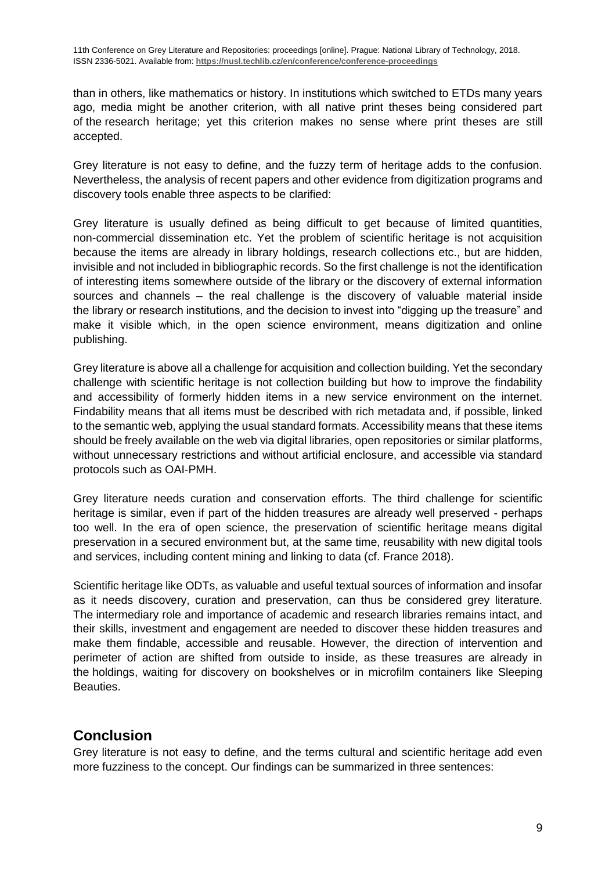than in others, like mathematics or history. In institutions which switched to ETDs many years ago, media might be another criterion, with all native print theses being considered part of the research heritage; yet this criterion makes no sense where print theses are still accepted.

Grey literature is not easy to define, and the fuzzy term of heritage adds to the confusion. Nevertheless, the analysis of recent papers and other evidence from digitization programs and discovery tools enable three aspects to be clarified:

Grey literature is usually defined as being difficult to get because of limited quantities, non-commercial dissemination etc. Yet the problem of scientific heritage is not acquisition because the items are already in library holdings, research collections etc., but are hidden, invisible and not included in bibliographic records. So the first challenge is not the identification of interesting items somewhere outside of the library or the discovery of external information sources and channels – the real challenge is the discovery of valuable material inside the library or research institutions, and the decision to invest into "digging up the treasure" and make it visible which, in the open science environment, means digitization and online publishing.

Grey literature is above all a challenge for acquisition and collection building. Yet the secondary challenge with scientific heritage is not collection building but how to improve the findability and accessibility of formerly hidden items in a new service environment on the internet. Findability means that all items must be described with rich metadata and, if possible, linked to the semantic web, applying the usual standard formats. Accessibility means that these items should be freely available on the web via digital libraries, open repositories or similar platforms, without unnecessary restrictions and without artificial enclosure, and accessible via standard protocols such as OAI-PMH.

Grey literature needs curation and conservation efforts. The third challenge for scientific heritage is similar, even if part of the hidden treasures are already well preserved - perhaps too well. In the era of open science, the preservation of scientific heritage means digital preservation in a secured environment but, at the same time, reusability with new digital tools and services, including content mining and linking to data (cf. France 2018).

Scientific heritage like ODTs, as valuable and useful textual sources of information and insofar as it needs discovery, curation and preservation, can thus be considered grey literature. The intermediary role and importance of academic and research libraries remains intact, and their skills, investment and engagement are needed to discover these hidden treasures and make them findable, accessible and reusable. However, the direction of intervention and perimeter of action are shifted from outside to inside, as these treasures are already in the holdings, waiting for discovery on bookshelves or in microfilm containers like Sleeping Beauties.

## **Conclusion**

Grey literature is not easy to define, and the terms cultural and scientific heritage add even more fuzziness to the concept. Our findings can be summarized in three sentences: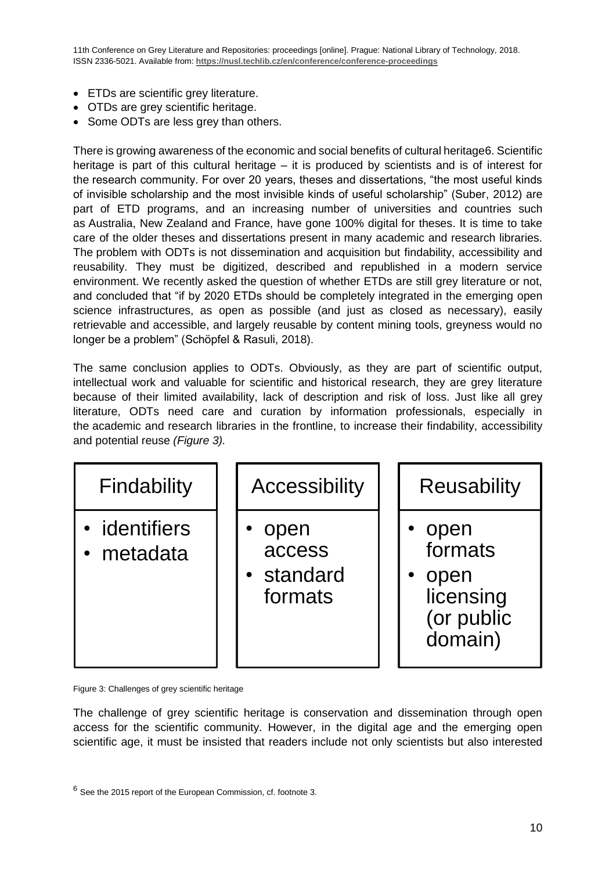11th Conference on Grey Literature and Repositories: proceedings [online]. Prague: National Library of Technology, 2018. ISSN 2336-5021. Available from: **https://nusl.techlib.cz/en/conference/conference-proceedings**

- ETDs are scientific grey literature.
- OTDs are grey scientific heritage.
- Some ODTs are less grey than others.

There is growing awareness of the economic and social benefits of cultural heritage6. Scientific heritage is part of this cultural heritage – it is produced by scientists and is of interest for the research community. For over 20 years, theses and dissertations, "the most useful kinds of invisible scholarship and the most invisible kinds of useful scholarship" (Suber, 2012) are part of ETD programs, and an increasing number of universities and countries such as Australia, New Zealand and France, have gone 100% digital for theses. It is time to take care of the older theses and dissertations present in many academic and research libraries. The problem with ODTs is not dissemination and acquisition but findability, accessibility and reusability. They must be digitized, described and republished in a modern service environment. We recently asked the question of whether ETDs are still grey literature or not, and concluded that "if by 2020 ETDs should be completely integrated in the emerging open science infrastructures, as open as possible (and just as closed as necessary), easily retrievable and accessible, and largely reusable by content mining tools, greyness would no longer be a problem" (Schöpfel & Rasuli, 2018).

The same conclusion applies to ODTs. Obviously, as they are part of scientific output, intellectual work and valuable for scientific and historical research, they are grey literature because of their limited availability, lack of description and risk of loss. Just like all grey literature, ODTs need care and curation by information professionals, especially in the academic and research libraries in the frontline, to increase their findability, accessibility and potential reuse *(Figure 3).*



Figure 3: Challenges of grey scientific heritage

The challenge of grey scientific heritage is conservation and dissemination through open access for the scientific community. However, in the digital age and the emerging open scientific age, it must be insisted that readers include not only scientists but also interested

 $6$  See the 2015 report of the European Commission, cf. footnote 3.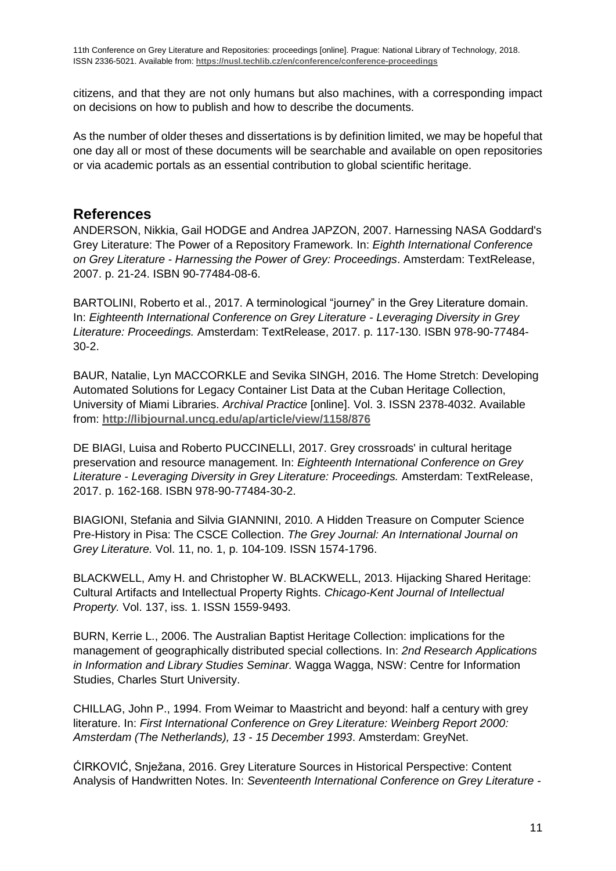citizens, and that they are not only humans but also machines, with a corresponding impact on decisions on how to publish and how to describe the documents.

As the number of older theses and dissertations is by definition limited, we may be hopeful that one day all or most of these documents will be searchable and available on open repositories or via academic portals as an essential contribution to global scientific heritage.

### **References**

ANDERSON, Nikkia, Gail HODGE and Andrea JAPZON, 2007. Harnessing NASA Goddard's Grey Literature: The Power of a Repository Framework. In: *Eighth International Conference on Grey Literature - Harnessing the Power of Grey: Proceedings*. Amsterdam: TextRelease, 2007. p. 21-24. ISBN 90-77484-08-6.

BARTOLINI, Roberto et al., 2017. A terminological "journey" in the Grey Literature domain. In: *Eighteenth International Conference on Grey Literature - Leveraging Diversity in Grey Literature: Proceedings.* Amsterdam: TextRelease, 2017. p. 117-130. ISBN 978-90-77484- 30-2.

BAUR, Natalie, Lyn MACCORKLE and Sevika SINGH, 2016. The Home Stretch: Developing Automated Solutions for Legacy Container List Data at the Cuban Heritage Collection, University of Miami Libraries. *Archival Practice* [online]. Vol. 3. ISSN 2378-4032. Available from: **<http://libjournal.uncg.edu/ap/article/view/1158/876>**

DE BIAGI, Luisa and Roberto PUCCINELLI, 2017. Grey crossroads' in cultural heritage preservation and resource management. In: *Eighteenth International Conference on Grey Literature - Leveraging Diversity in Grey Literature: Proceedings.* Amsterdam: TextRelease, 2017. p. 162-168. ISBN 978-90-77484-30-2.

BIAGIONI, Stefania and Silvia GIANNINI, 2010. A Hidden Treasure on Computer Science Pre-History in Pisa: The CSCE Collection. *The Grey Journal: An International Journal on Grey Literature.* Vol. 11, no. 1, p. 104-109. ISSN 1574-1796.

BLACKWELL, Amy H. and Christopher W. BLACKWELL, 2013. Hijacking Shared Heritage: Cultural Artifacts and Intellectual Property Rights. *Chicago-Kent Journal of Intellectual Property.* Vol. 137, iss. 1. ISSN 1559-9493.

BURN, Kerrie L., 2006. The Australian Baptist Heritage Collection: implications for the management of geographically distributed special collections. In: *2nd Research Applications in Information and Library Studies Seminar.* Wagga Wagga, NSW: Centre for Information Studies, Charles Sturt University.

CHILLAG, John P., 1994. From Weimar to Maastricht and beyond: half a century with grey literature. In: *First International Conference on Grey Literature: Weinberg Report 2000: Amsterdam (The Netherlands), 13 - 15 December 1993*. Amsterdam: GreyNet.

ĆIRKOVIĆ, Snježana, 2016. Grey Literature Sources in Historical Perspective: Content Analysis of Handwritten Notes. In: *Seventeenth International Conference on Grey Literature -*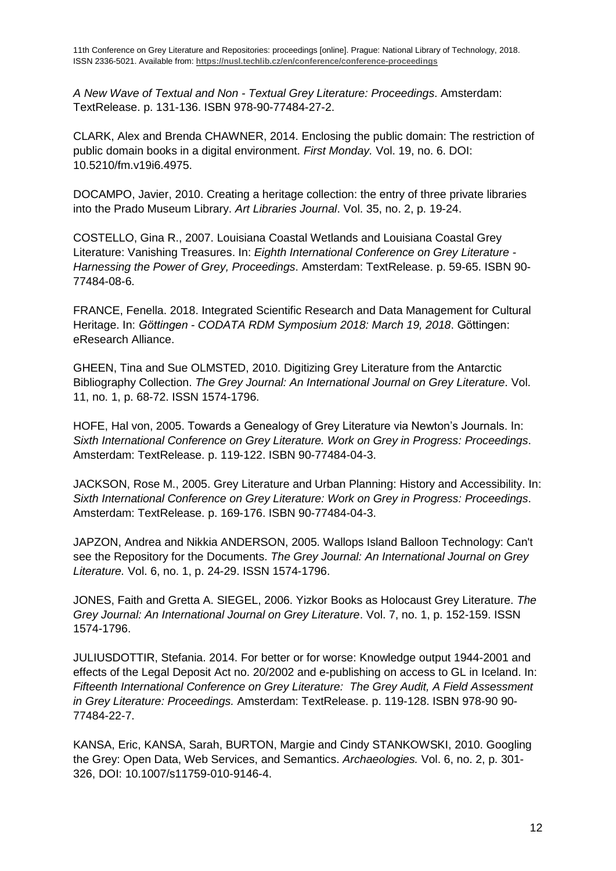*A New Wave of Textual and Non - Textual Grey Literature: Proceedings*. Amsterdam: TextRelease. p. 131-136. ISBN 978-90-77484-27-2.

CLARK, Alex and Brenda CHAWNER, 2014. Enclosing the public domain: The restriction of public domain books in a digital environment. *First Monday.* Vol. 19, no. 6. DOI: 10.5210/fm.v19i6.4975.

DOCAMPO, Javier, 2010. Creating a heritage collection: the entry of three private libraries into the Prado Museum Library. *Art Libraries Journal*. Vol. 35, no. 2, p. 19-24.

COSTELLO, Gina R., 2007. Louisiana Coastal Wetlands and Louisiana Coastal Grey Literature: Vanishing Treasures. In: *Eighth International Conference on Grey Literature - Harnessing the Power of Grey, Proceedings*. Amsterdam: TextRelease. p. 59-65. ISBN 90- 77484-08-6.

FRANCE, Fenella. 2018. Integrated Scientific Research and Data Management for Cultural Heritage. In: *Göttingen - CODATA RDM Symposium 2018: March 19, 2018*. Göttingen: eResearch Alliance.

GHEEN, Tina and Sue OLMSTED, 2010. Digitizing Grey Literature from the Antarctic Bibliography Collection. *The Grey Journal: An International Journal on Grey Literature*. Vol. 11, no. 1, p. 68-72. ISSN 1574-1796.

HOFE, Hal von, 2005. Towards a Genealogy of Grey Literature via Newton's Journals. In: *Sixth International Conference on Grey Literature. Work on Grey in Progress: Proceedings*. Amsterdam: TextRelease. p. 119-122. ISBN 90-77484-04-3.

JACKSON, Rose M., 2005. Grey Literature and Urban Planning: History and Accessibility. In: *Sixth International Conference on Grey Literature: Work on Grey in Progress: Proceedings*. Amsterdam: TextRelease. p. 169-176. ISBN 90-77484-04-3.

JAPZON, Andrea and Nikkia ANDERSON, 2005. Wallops Island Balloon Technology: Can't see the Repository for the Documents. *The Grey Journal: An International Journal on Grey Literature.* Vol. 6, no. 1, p. 24-29. ISSN 1574-1796.

JONES, Faith and Gretta A. SIEGEL, 2006. Yizkor Books as Holocaust Grey Literature. *The Grey Journal: An International Journal on Grey Literature*. Vol. 7, no. 1, p. 152-159. ISSN 1574-1796.

JULIUSDOTTIR, Stefania. 2014. For better or for worse: Knowledge output 1944-2001 and effects of the Legal Deposit Act no. 20/2002 and e-publishing on access to GL in Iceland. In: *Fifteenth International Conference on Grey Literature: The Grey Audit, A Field Assessment in Grey Literature: Proceedings.* Amsterdam: TextRelease. p. 119-128. ISBN 978-90 90- 77484-22-7.

KANSA, Eric, KANSA, Sarah, BURTON, Margie and Cindy STANKOWSKI, 2010. Googling the Grey: Open Data, Web Services, and Semantics. *Archaeologies.* Vol. 6, no. 2, p. 301- 326, DOI: 10.1007/s11759-010-9146-4.